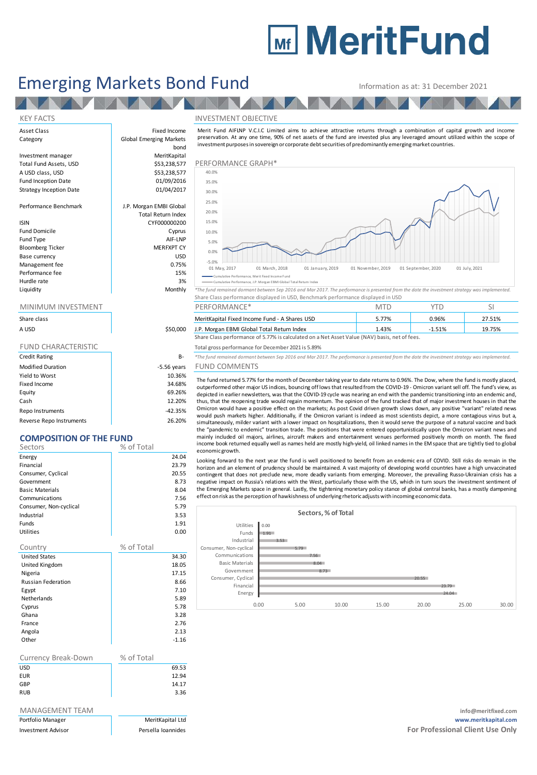# **Mir MeritFund**

## Emerging Markets Bond Fund Information as at: 31 December 2021

AV A

Asset Class **Fixed Income** Category **Global Emerging Markets** 

Investment manager MeritKapital A USD class, USD 6. 1999 6.53,238,577<br>
Fund Inception Date 6. 1999/2016 Fund Inception Date **12 bis 1200 million**<br>Strategy Inception Date 101/04/2017 Strategy Inception Date

Performance Benchmark J.P. Morgan EMBI Global

### ISIN CYF000000200

Fund Domicile **Cyprus** Fund Type AIF-LNP<br>Bloomberg Ticker AIF-LNP MERFXPT CY Bloomberg Ticker Base currency USD Management fee between the contraction of the contraction of the contraction of the contraction of the contraction of the contraction of the contraction of the contraction of the contraction of the contraction of the contr Performance fee 15% and 15% and 15% and 15% and 15% and 15% and 15% and 15% and 15% and 15% and 15% and 15% and 15% and 15% and 15% and 15% and 15% and 15% and 15% and 15% and 15% and 15% and 15% and 15% and 15% and 15% an Hurdle rate and the state of the state of the state of the state of the state of the state of the state of the state of the state of the state of the state of the state of the state of the state of the state of the state o

|                            |               | Share Class performance displayed in USD, Benchmark performance displayed in USD                                                                                                                                                                                                                                                                                                                                                                                                                                                                |            |          |        |
|----------------------------|---------------|-------------------------------------------------------------------------------------------------------------------------------------------------------------------------------------------------------------------------------------------------------------------------------------------------------------------------------------------------------------------------------------------------------------------------------------------------------------------------------------------------------------------------------------------------|------------|----------|--------|
| MINIMUM INVESTMENT         |               | PERFORMANCE*                                                                                                                                                                                                                                                                                                                                                                                                                                                                                                                                    | <b>MTD</b> | YTD      | Ы      |
| Share class                |               | MeritKapital Fixed Income Fund - A Shares USD                                                                                                                                                                                                                                                                                                                                                                                                                                                                                                   | 5.77%      | 0.96%    | 27.51% |
| A USD                      | \$50,000      | J.P. Morgan EBMI Global Total Return Index                                                                                                                                                                                                                                                                                                                                                                                                                                                                                                      | 1.43%      | $-1.51%$ | 19.75% |
|                            |               | Share Class performance of 5.77% is calculated on a Net Asset Value (NAV) basis, net of fees.                                                                                                                                                                                                                                                                                                                                                                                                                                                   |            |          |        |
| <b>FUND CHARACTERISTIC</b> |               | Total gross performance for December 2021 is 5.89%                                                                                                                                                                                                                                                                                                                                                                                                                                                                                              |            |          |        |
| <b>Credit Rating</b>       | B-            | *The fund remained dormant between Sep 2016 and Mar 2017. The performance is presented from the date the investment strategy was implemented.                                                                                                                                                                                                                                                                                                                                                                                                   |            |          |        |
| <b>Modified Duration</b>   | $-5.56$ vears | <b>FUND COMMENTS</b>                                                                                                                                                                                                                                                                                                                                                                                                                                                                                                                            |            |          |        |
| Yield to Worst             | 10.36%        | The fund returned 5.77% for the month of December taking year to date returns to 0.96%. The Dow, where the fund is mostly place<br>outperformed other major US indices, bouncing offlows that resulted from the COVID-19 - Omicron variant sell off. The fund's view,<br>depicted in earlier newsletters, was that the COVID-19 cycle was nearing an end with the pandemic transitioning into an endemic an<br>thus, that the reopening trade would regain momentum. The opinion of the fund tracked that of major investment houses in that tl |            |          |        |
| Fixed Income               | 34.68%        |                                                                                                                                                                                                                                                                                                                                                                                                                                                                                                                                                 |            |          |        |
| Equity                     | 69.26%        |                                                                                                                                                                                                                                                                                                                                                                                                                                                                                                                                                 |            |          |        |
| Cash                       | 12.20%        |                                                                                                                                                                                                                                                                                                                                                                                                                                                                                                                                                 |            |          |        |

Repo Instruments and the contract of the contract of the contract of the contract of the contract of the contract of the contract of the contract of the contract of the contract of the contract of the contract of the contr Reverse Repo Instruments 26.20%

## **COMPOSITION OF THE FUND**

| ----<br><u>UJITUN UT</u><br>. |            |
|-------------------------------|------------|
| Sectors                       | % of Total |
| Energy                        | 24.04      |
| Financial                     | 23.79      |
| Consumer, Cyclical            | 20.55      |
| Government                    | 8.73       |
| <b>Basic Materials</b>        | 8.04       |
| Communications                | 7.56       |
| Consumer, Non-cyclical        | 5.79       |
| Industrial                    | 3.53       |
| Funds                         | 1.91       |
| <b>Utilities</b>              | 0.00       |
| Country                       | % of Total |
| <b>United States</b>          | 34.30      |
| United Kingdom                | 18.05      |
| Nigeria                       | 17.15      |
| <b>Russian Federation</b>     | 8.66       |
| Egypt                         | 7.10       |
| Netherlands                   | 5.89       |
| Cyprus                        | 5.78       |
| Ghana                         | 3.28       |
| France                        | 2.76       |
| Angola                        | 2.13       |
| Other                         | $-1.16$    |
|                               |            |
|                               |            |

| Currency Break-Down | % of Total |       |
|---------------------|------------|-------|
| USD                 |            | 69.53 |
| EUR                 |            | 12.94 |
| GBP                 |            | 14.17 |
| <b>RUB</b>          |            | 3.36  |

| Portfolio Manager         |  |
|---------------------------|--|
| <b>Investment Advisor</b> |  |

### KEY FACTS INVESTMENT OBJECTIVE



Cumulative Performance, Merit Fixed Income Fund

the fund remained dormant between Sep 2016 and Mar 2017. The performance is presented from the date the investment strategy was implemented. Share Class performance displayed in USD, Benchmark performance displayed in USD nce, J.P. Morgan EBMI G

| Share class |          | MeritKapital Fixed Income Fund - A Shares USD                                                 | $-77\%$ | 0.96% | 27.51% |
|-------------|----------|-----------------------------------------------------------------------------------------------|---------|-------|--------|
| A USD       | \$50,000 | J.P. Morgan EBMI Global Total Return Index                                                    | .43%    | 1.51% | 19.75% |
|             |          | Share Class performance of 5.77% is calculated on a Net Asset Value (NAV) basis, net of fees. |         |       |        |

## ears FUND COMMENTS

The fund returned 5.77% for the month of December taking year to date returns to 0.96%. The Dow, where the fund is mostly placed,<br>The fund returned domant between Sep 2016 and Mar 2017. The performance is presented from th outperformed other major US indices, bouncing off lows that resulted from the COVID-19 - Omicron variant sell off. The fund's view, as The fund ecuss performance of 3.7778 is calculated of a decreased variety y usass, nec orrecs.<br>The fund remained dormant between Sep 2016 and Mar 2017. The performance is presented from the date the investment strategy was the "pandemic to endemic" transition trade. The positions that were entered opportunistically upon the Omicron variant news and mainly included oil majors, airlines, aircraft makers and entertainment venues performed positively month on month. The fixed<br>income book returned equally well as names held are mostly high-yield, oil linked names in the E depicted in earlier newsletters, was that the COVID-19 cycle was nearing an end with the pandemic transitioning into an endemic and, thus, that the reopening trade would regain momentum. The opinion of the fund tracked tha economic growth. Omicron would have a positive effect on the markets; As post Covid driven growth slows down, any positive "variant" related news would push markets higher. Additionally, if the Omicron variant is indeed as most scientists

horizon and an element of prudency should be maintained. A vast majority of developing world countries have a high unvaccinated the "pandemic to endemic" transition trade. The positions that were entered opportunistically upon the Omicron variant news and mainly included oil majors, airlines, aircraft makers and entertainment venues performed posit effect on risk as the perception of hawkishness of underlying rhetoricadjusts with incoming economicdata.